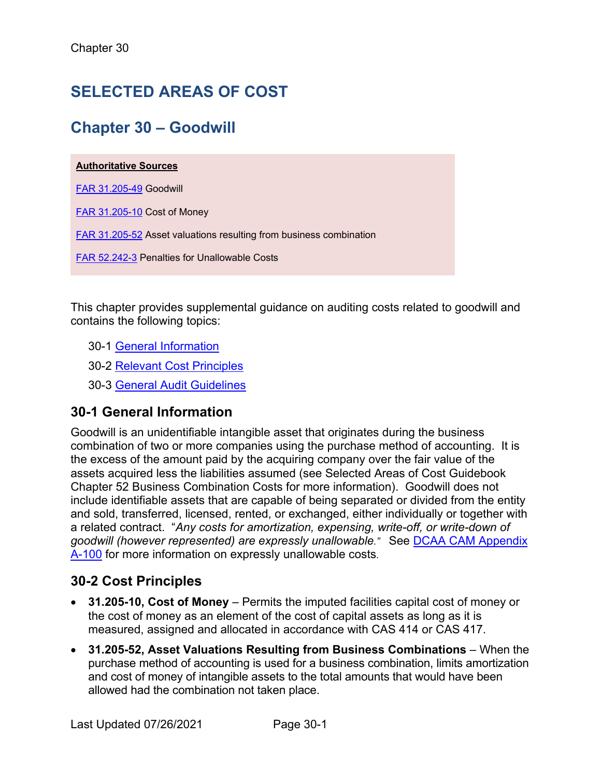# **SELECTED AREAS OF COST**

## **Chapter 30 – Goodwill**

#### **Authoritative Sources**

[FAR 31.205-49](http://www.ecfr.gov/cgi-bin/text-idx?SID=80610e03faaaeeba3bd9ce197f7e161a&node=se48.1.31_1205_649&rgn=div8) Goodwill

[FAR 31.205-10](http://www.ecfr.gov/cgi-bin/text-idx?SID=80610e03faaaeeba3bd9ce197f7e161a&node=se48.1.31_1205_610&rgn=div8) Cost of Money

[FAR 31.205-52](https://www.ecfr.gov/cgi-bin/retrieveECFR?gp=&SID=1e68fd04c5f68c9fa83340https://www.ecfr.gov/cgi-bin/retrieveECFR?gp=&SID=1e68fd04c5f68c9fa833400a1a0f69ba&mc=true&n=sp48.1.31.31_12&r=SUBPART&ty=HTML#se48.1.31_1205_652) Asset valuations resulting from business combination

[FAR 52.242-3](https://www.ecfr.gov/cgi-bin/text-idx?SID=cfee2fc8c553cf1350bb645808efbb10&mc=true&node=se48.2.52_1242_63&rgn=div8) Penalties for Unallowable Costs

This chapter provides supplemental guidance on auditing costs related to goodwill and contains the following topics:

- 30-1 [General Information](#page-0-0)
- 30-2 [Relevant Cost Principles](#page-0-1)
- <span id="page-0-0"></span>30-3 [General Audit Guidelines](#page-1-0)

#### **30-1 General Information**

Goodwill is an unidentifiable intangible asset that originates during the business combination of two or more companies using the purchase method of accounting. It is the excess of the amount paid by the acquiring company over the fair value of the assets acquired less the liabilities assumed (see Selected Areas of Cost Guidebook Chapter 52 Business Combination Costs for more information). Goodwill does not include identifiable assets that are capable of being separated or divided from the entity and sold, transferred, licensed, rented, or exchanged, either individually or together with a related contract. "*Any costs for amortization, expensing, write-off, or write-down of goodwill (however represented) are expressly unallowable."* See [DCAA CAM Appendix](https://www.dcaa.mil/Portals/88/Documents/Guidance/CAM/Chapter%2095%20APPENDIX%20A%20Contract%20Cost%20Principles%20and%20Procedures.pdf)  [A-100](https://www.dcaa.mil/Portals/88/Documents/Guidance/CAM/Chapter%2095%20APPENDIX%20A%20Contract%20Cost%20Principles%20and%20Procedures.pdf) for more information on expressly unallowable costs*.*

#### <span id="page-0-1"></span>**30-2 Cost Principles**

- **31.205-10, Cost of Money** Permits the imputed facilities capital cost of money or the cost of money as an element of the cost of capital assets as long as it is measured, assigned and allocated in accordance with CAS 414 or CAS 417.
- **31.205-52, Asset Valuations Resulting from Business Combinations** When the purchase method of accounting is used for a business combination, limits amortization and cost of money of intangible assets to the total amounts that would have been allowed had the combination not taken place.